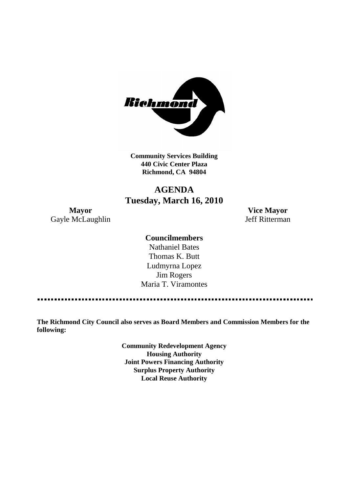

**Community Services Building 440 Civic Center Plaza Richmond, CA 94804**

# **AGENDA Tuesday, March 16, 2010**

Gayle McLaughlin Jeff Ritterman

**Mayor Vice Mayor**

## **Councilmembers**

Nathaniel Bates Thomas K. Butt Ludmyrna Lopez Jim Rogers Maria T. Viramontes

**The Richmond City Council also serves as Board Members and Commission Members for the following:**

> **Community Redevelopment Agency Housing Authority Joint Powers Financing Authority Surplus Property Authority Local Reuse Authority**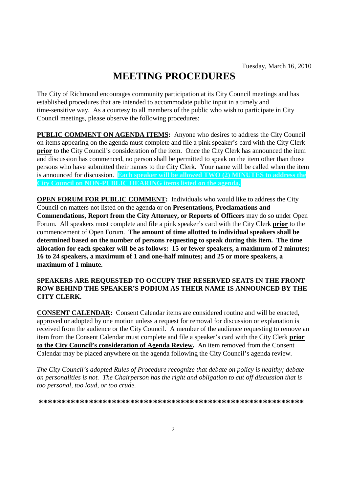# **MEETING PROCEDURES**

The City of Richmond encourages community participation at its City Council meetings and has established procedures that are intended to accommodate public input in a timely and time-sensitive way. As a courtesy to all members of the public who wish to participate in City Council meetings, please observe the following procedures:

**PUBLIC COMMENT ON AGENDA ITEMS:** Anyone who desires to address the City Council on items appearing on the agenda must complete and file a pink speaker's card with the City Clerk **prior** to the City Council's consideration of the item. Once the City Clerk has announced the item and discussion has commenced, no person shall be permitted to speak on the item other than those persons who have submitted their names to the City Clerk. Your name will be called when the item is announced for discussion. **Each speaker will be allowed TWO (2) MINUTES to address the City Council on NON-PUBLIC HEARING items listed on the agenda.**

**OPEN FORUM FOR PUBLIC COMMENT:** Individuals who would like to address the City Council on matters not listed on the agenda or on **Presentations, Proclamations and Commendations, Report from the City Attorney, or Reports of Officers** may do so under Open Forum. All speakers must complete and file a pink speaker's card with the City Clerk **prior** to the commencement of Open Forum. **The amount of time allotted to individual speakers shall be determined based on the number of persons requesting to speak during this item. The time allocation for each speaker will be as follows: 15 or fewer speakers, a maximum of 2 minutes; 16 to 24 speakers, a maximum of 1 and one-half minutes; and 25 or more speakers, a maximum of 1 minute.**

### **SPEAKERS ARE REQUESTED TO OCCUPY THE RESERVED SEATS IN THE FRONT ROW BEHIND THE SPEAKER'S PODIUM AS THEIR NAME IS ANNOUNCED BY THE CITY CLERK.**

**CONSENT CALENDAR:** Consent Calendar items are considered routine and will be enacted, approved or adopted by one motion unless a request for removal for discussion or explanation is received from the audience or the City Council. A member of the audience requesting to remove an item from the Consent Calendar must complete and file a speaker's card with the City Clerk **prior to the City Council's consideration of Agenda Review.** An item removed from the Consent Calendar may be placed anywhere on the agenda following the City Council's agenda review.

*The City Council's adopted Rules of Procedure recognize that debate on policy is healthy; debate on personalities is not. The Chairperson has the right and obligation to cut off discussion that is too personal, too loud, or too crude.*

**\*\*\*\*\*\*\*\*\*\*\*\*\*\*\*\*\*\*\*\*\*\*\*\*\*\*\*\*\*\*\*\*\*\*\*\*\*\*\*\*\*\*\*\*\*\*\*\*\*\*\*\*\*\*\*\*\*\***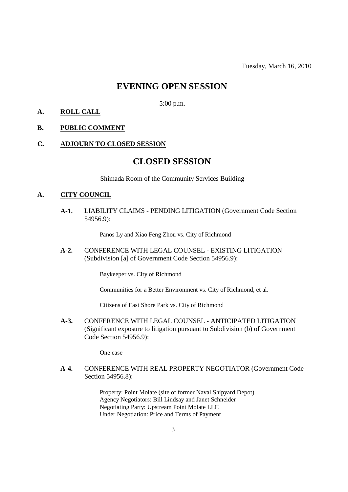Tuesday, March 16, 2010

# **EVENING OPEN SESSION**

5:00 p.m.

**A. ROLL CALL**

#### **B. PUBLIC COMMENT**

### **C. ADJOURN TO CLOSED SESSION**

# **CLOSED SESSION**

Shimada Room of the Community Services Building

#### **A. CITY COUNCIL**

**A-1.** LIABILITY CLAIMS - PENDING LITIGATION (Government Code Section 54956.9):

Panos Ly and Xiao Feng Zhou vs. City of Richmond

**A-2.** CONFERENCE WITH LEGAL COUNSEL - EXISTING LITIGATION (Subdivision [a] of Government Code Section 54956.9):

Baykeeper vs. City of Richmond

Communities for a Better Environment vs. City of Richmond, et al.

Citizens of East Shore Park vs. City of Richmond

**A-3.** CONFERENCE WITH LEGAL COUNSEL - ANTICIPATED LITIGATION (Significant exposure to litigation pursuant to Subdivision (b) of Government Code Section 54956.9):

One case

**A-4.** CONFERENCE WITH REAL PROPERTY NEGOTIATOR (Government Code Section 54956.8):

> Property: Point Molate (site of former Naval Shipyard Depot) Agency Negotiators: Bill Lindsay and Janet Schneider Negotiating Party: Upstream Point Molate LLC Under Negotiation: Price and Terms of Payment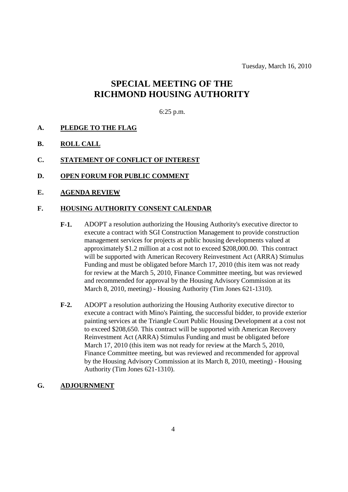Tuesday, March 16, 2010

# **SPECIAL MEETING OF THE RICHMOND HOUSING AUTHORITY**

### 6:25 p.m.

- **A. PLEDGE TO THE FLAG**
- **B. ROLL CALL**
- **C. STATEMENT OF CONFLICT OF INTEREST**
- **D. OPEN FORUM FOR PUBLIC COMMENT**
- **E. AGENDA REVIEW**

### **F. HOUSING AUTHORITY CONSENT CALENDAR**

- **F-1.** ADOPT a resolution authorizing the Housing Authority's executive director to execute a contract with SGI Construction Management to provide construction management services for projects at public housing developments valued at approximately \$1.2 million at a cost not to exceed \$208,000.00. This contract will be supported with American Recovery Reinvestment Act (ARRA) Stimulus Funding and must be obligated before March 17, 2010 (this item was not ready for review at the March 5, 2010, Finance Committee meeting, but was reviewed and recommended for approval by the Housing Advisory Commission at its March 8, 2010, meeting) - Housing Authority (Tim Jones 621-1310).
- **F-2.** ADOPT a resolution authorizing the Housing Authority executive director to execute a contract with Mino's Painting, the successful bidder, to provide exterior painting services at the Triangle Court Public Housing Development at a cost not to exceed \$208,650. This contract will be supported with American Recovery Reinvestment Act (ARRA) Stimulus Funding and must be obligated before March 17, 2010 (this item was not ready for review at the March 5, 2010, Finance Committee meeting, but was reviewed and recommended for approval by the Housing Advisory Commission at its March 8, 2010, meeting) - Housing Authority (Tim Jones 621-1310).

#### **G. ADJOURNMENT**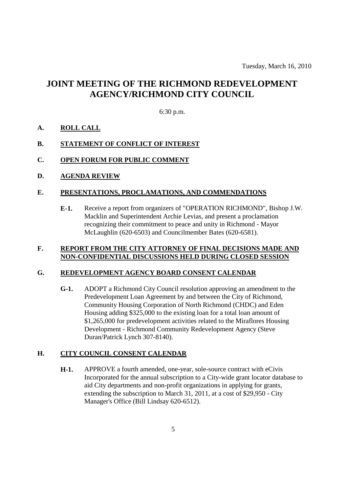# **JOINT MEETING OF THE RICHMOND REDEVELOPMENT AGENCY/RICHMOND CITY COUNCIL**

### 6:30 p.m.

### **A. ROLL CALL**

### **B. STATEMENT OF CONFLICT OF INTEREST**

### **C. OPEN FORUM FOR PUBLIC COMMENT**

**D. AGENDA REVIEW**

### **E. PRESENTATIONS, PROCLAMATIONS, AND COMMENDATIONS**

**E-1.** Receive a report from organizers of "OPERATION RICHMOND", Bishop J.W. Macklin and Superintendent Archie Levias, and present a proclamation recognizing their commitment to peace and unity in Richmond - Mayor McLaughlin (620-6503) and Councilmember Bates (620-6581).

### **F. REPORT FROM THE CITY ATTORNEY OF FINAL DECISIONS MADE AND NON-CONFIDENTIAL DISCUSSIONS HELD DURING CLOSED SESSION**

### **G. REDEVELOPMENT AGENCY BOARD CONSENT CALENDAR**

**G-1.** ADOPT a Richmond City Council resolution approving an amendment to the Predevelopment Loan Agreement by and between the City of Richmond, Community Housing Corporation of North Richmond (CHDC) and Eden Housing adding \$325,000 to the existing loan for a total loan amount of \$1,265,000 for predevelopment activities related to the Miraflores Housing Development - Richmond Community Redevelopment Agency (Steve Duran/Patrick Lynch 307-8140).

## **H. CITY COUNCIL CONSENT CALENDAR**

**H-1.** APPROVE a fourth amended, one-year, sole-source contract with eCivis Incorporated for the annual subscription to a City-wide grant locator database to aid City departments and non-profit organizations in applying for grants, extending the subscription to March 31, 2011, at a cost of \$29,950 - City Manager's Office (Bill Lindsay 620-6512).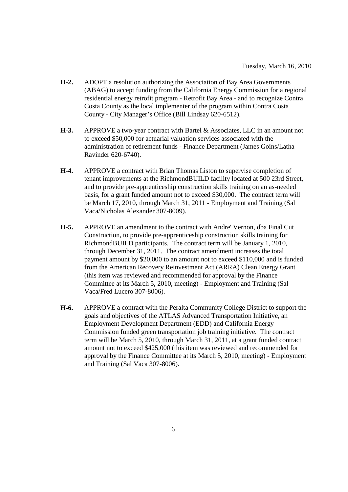- **H-2.** ADOPT a resolution authorizing the Association of Bay Area Governments (ABAG) to accept funding from the California Energy Commission for a regional residential energy retrofit program - Retrofit Bay Area - and to recognize Contra Costa County as the local implementer of the program within Contra Costa County - City Manager's Office (Bill Lindsay 620-6512).
- **H-3.** APPROVE a two-year contract with Bartel & Associates, LLC in an amount not to exceed \$50,000 for actuarial valuation services associated with the administration of retirement funds - Finance Department (James Goins/Latha Ravinder 620-6740).
- **H-4.** APPROVE a contract with Brian Thomas Liston to supervise completion of tenant improvements at the RichmondBUILD facility located at 500 23rd Street, and to provide pre-apprenticeship construction skills training on an as-needed basis, for a grant funded amount not to exceed \$30,000. The contract term will be March 17, 2010, through March 31, 2011 - Employment and Training (Sal Vaca/Nicholas Alexander 307-8009).
- **H-5.** APPROVE an amendment to the contract with Andre' Vernon, dba Final Cut Construction, to provide pre-apprenticeship construction skills training for RichmondBUILD participants. The contract term will be January 1, 2010, through December 31, 2011. The contract amendment increases the total payment amount by \$20,000 to an amount not to exceed \$110,000 and is funded from the American Recovery Reinvestment Act (ARRA) Clean Energy Grant (this item was reviewed and recommended for approval by the Finance Committee at its March 5, 2010, meeting) - Employment and Training (Sal Vaca/Fred Lucero 307-8006).
- **H-6.** APPROVE a contract with the Peralta Community College District to support the goals and objectives of the ATLAS Advanced Transportation Initiative, an Employment Development Department (EDD) and California Energy Commission funded green transportation job training initiative. The contract term will be March 5, 2010, through March 31, 2011, at a grant funded contract amount not to exceed \$425,000 (this item was reviewed and recommended for approval by the Finance Committee at its March 5, 2010, meeting) - Employment and Training (Sal Vaca 307-8006).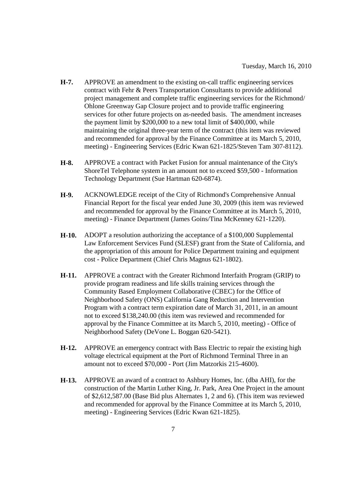- **H-7.** APPROVE an amendment to the existing on-call traffic engineering services contract with Fehr & Peers Transportation Consultants to provide additional project management and complete traffic engineering services for the Richmond/ Ohlone Greenway Gap Closure project and to provide traffic engineering services for other future projects on as-needed basis. The amendment increases the payment limit by \$200,000 to a new total limit of \$400,000, while maintaining the original three-year term of the contract (this item was reviewed and recommended for approval by the Finance Committee at its March 5, 2010, meeting) - Engineering Services (Edric Kwan 621-1825/Steven Tam 307-8112).
- **H-8.** APPROVE a contract with Packet Fusion for annual maintenance of the City's ShoreTel Telephone system in an amount not to exceed \$59,500 - Information Technology Department (Sue Hartman 620-6874).
- **H-9.** ACKNOWLEDGE receipt of the City of Richmond's Comprehensive Annual Financial Report for the fiscal year ended June 30, 2009 (this item was reviewed and recommended for approval by the Finance Committee at its March 5, 2010, meeting) - Finance Department (James Goins/Tina McKenney 621-1220).
- **H-10.** ADOPT a resolution authorizing the acceptance of a \$100,000 Supplemental Law Enforcement Services Fund (SLESF) grant from the State of California, and the appropriation of this amount for Police Department training and equipment cost - Police Department (Chief Chris Magnus 621-1802).
- **H-11.** APPROVE a contract with the Greater Richmond Interfaith Program (GRIP) to provide program readiness and life skills training services through the Community Based Employment Collaborative (CBEC) for the Office of Neighborhood Safety (ONS) California Gang Reduction and Intervention Program with a contract term expiration date of March 31, 2011, in an amount not to exceed \$138,240.00 (this item was reviewed and recommended for approval by the Finance Committee at its March 5, 2010, meeting) - Office of Neighborhood Safety (DeVone L. Boggan 620-5421).
- **H-12.** APPROVE an emergency contract with Bass Electric to repair the existing high voltage electrical equipment at the Port of Richmond Terminal Three in an amount not to exceed \$70,000 - Port (Jim Matzorkis 215-4600).
- **H-13.** APPROVE an award of a contract to Ashbury Homes, Inc. (dba AHI), for the construction of the Martin Luther King, Jr. Park, Area One Project in the amount of \$2,612,587.00 (Base Bid plus Alternates 1, 2 and 6). (This item was reviewed and recommended for approval by the Finance Committee at its March 5, 2010, meeting) - Engineering Services (Edric Kwan 621-1825).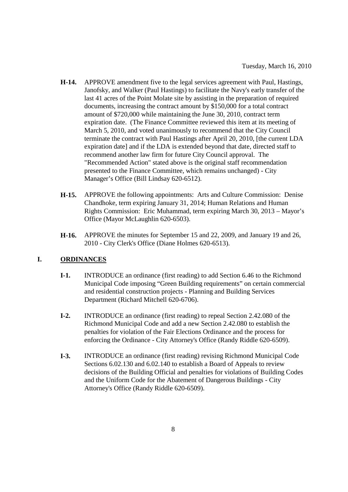- **H-14.** APPROVE amendment five to the legal services agreement with Paul, Hastings, Janofsky, and Walker (Paul Hastings) to facilitate the Navy's early transfer of the last 41 acres of the Point Molate site by assisting in the preparation of required documents, increasing the contract amount by \$150,000 for a total contract amount of \$720,000 while maintaining the June 30, 2010, contract term expiration date. (The Finance Committee reviewed this item at its meeting of March 5, 2010, and voted unanimously to recommend that the City Council terminate the contract with Paul Hastings after April 20, 2010, [the current LDA expiration date] and if the LDA is extended beyond that date, directed staff to recommend another law firm for future City Council approval. The "Recommended Action" stated above is the original staff recommendation presented to the Finance Committee, which remains unchanged) - City Manager's Office (Bill Lindsay 620-6512).
- **H-15.** APPROVE the following appointments: Arts and Culture Commission: Denise Chandhoke, term expiring January 31, 2014; Human Relations and Human Rights Commission: Eric Muhammad, term expiring March 30, 2013 – Mayor's Office (Mayor McLaughlin 620-6503).
- **H-16.** APPROVE the minutes for September 15 and 22, 2009, and January 19 and 26, 2010 - City Clerk's Office (Diane Holmes 620-6513).

# **I. ORDINANCES**

- **I-1.** INTRODUCE an ordinance (first reading) to add Section 6.46 to the Richmond Municipal Code imposing "Green Building requirements" on certain commercial and residential construction projects - Planning and Building Services Department (Richard Mitchell 620-6706).
- **I-2.** INTRODUCE an ordinance (first reading) to repeal Section 2.42.080 of the Richmond Municipal Code and add a new Section 2.42.080 to establish the penalties for violation of the Fair Elections Ordinance and the process for enforcing the Ordinance - City Attorney's Office (Randy Riddle 620-6509).
- **I-3.** INTRODUCE an ordinance (first reading) revising Richmond Municipal Code Sections 6.02.130 and 6.02.140 to establish a Board of Appeals to review decisions of the Building Official and penalties for violations of Building Codes and the Uniform Code for the Abatement of Dangerous Buildings - City Attorney's Office (Randy Riddle 620-6509).